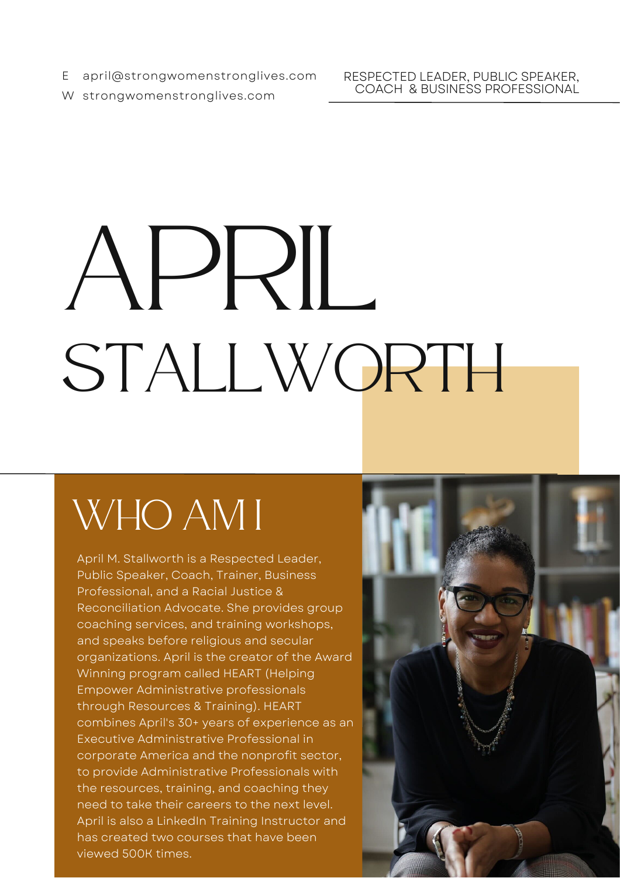E april@strongwomenstronglives.com

RESPECTED LEADER, PUBLIC SPEAKER, COACH & BUSINESS PROFESSIONAL

W strongwomenstronglives.com

# APRIL STALLWORTH

## WHO AM I

April M. Stallworth is a Respected Leader, Public Speaker, Coach, Trainer, Business Professional, and a Racial Justice & Reconciliation Advocate. She provides group coaching services, and training workshops, and speaks before religious and secular organizations. April is the creator of the Award Winning program called HEART (Helping Empower Administrative professionals through Resources & Training). HEART combines April's 30+ years of experience as an Executive Administrative Professional in corporate America and the nonprofit sector, to provide Administrative Professionals with the resources, training, and coaching they need to take their careers to the next level. April is also a LinkedIn Training Instructor and has created two courses that have been viewed 500K times.

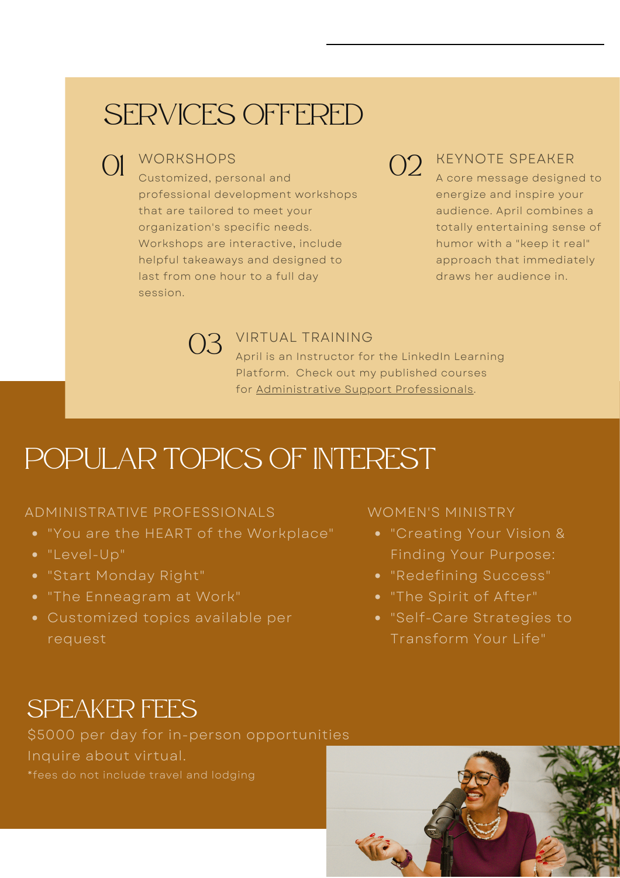## SERVICES OFFERED

**WORKSHOPS** 

 $\bigcup_{\text{Customized, personal and}} \bigcup_{\mathcal{O}}$ professional development workshops that are tailored to meet your organization's specific needs. Workshops are interactive, include helpful takeaways and designed to last from one hour to a full day session.

## 02 KEYNOTE SPEAKER

A core message designed to energize and inspire your audience. April combines a totally entertaining sense of humor with a "keep it real" approach that immediately draws her audience in.



03 VIRTUAL TRAINING<br>April is an Instructor for April is an Instructor for the LinkedIn Learning Platform. Check out my published courses for [Administrative](https://www.linkedin.com/learning/administrative-professional-tips?trk=embed_lil) Support Professionals.

### POPULAR TOPICS OF INTEREST

#### ADMINISTRATIVE PROFESSIONALS

- "You are the HEART of the Workplace"
- "Level-Up"
- "Start Monday Right"
- "The Enneagram at Work"
- Customized topics available per request

WOMEN'S MINISTRY

- "Creating Your Vision & Finding Your Purpose:
- "Redefining Success"
- "The Spirit of After"
- "Self-Care Strategies to Transform Your Life"

#### SPEAKER FEES

\$5000 per day for in-person opportunities Inquire about virtual. \*fees do not include travel and lodging

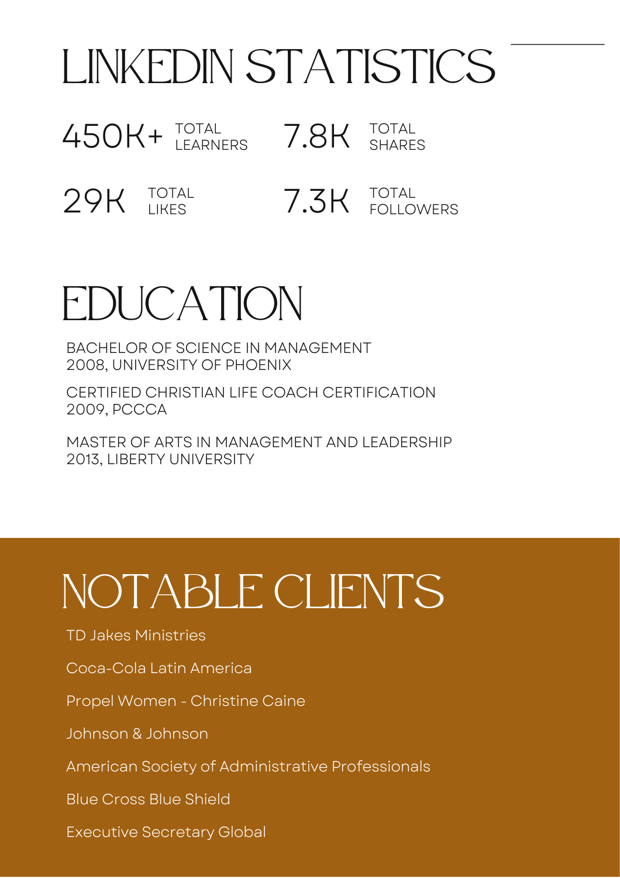# LINKEDIN STATISTICS

450K+ TOTAL 7.8K TOTAL LEARNERS SHARES

29K TOTAL 7.3K TOTAL LIKES FOLLOWERS

## EDUCATION

BACHELOR OF SCIENCE IN MANAGEMENT 2008, UNIVERSITY OF PHOENIX

CERTIFIED CHRISTIAN LIFE COACH CERTIFICATION 2009, PCCCA

MASTER OF ARTS IN MANAGEMENT AND LEADERSHIP 2013, LIBERTY UNIVERSITY

# NOTABLE CLIENTS

TD Jakes Ministries

Coca-Cola Latin America

Propel Women - Christine Caine

Johnson & Johnson

American Society of Administrative Professionals

Blue Cross Blue Shield

Executive Secretary Global